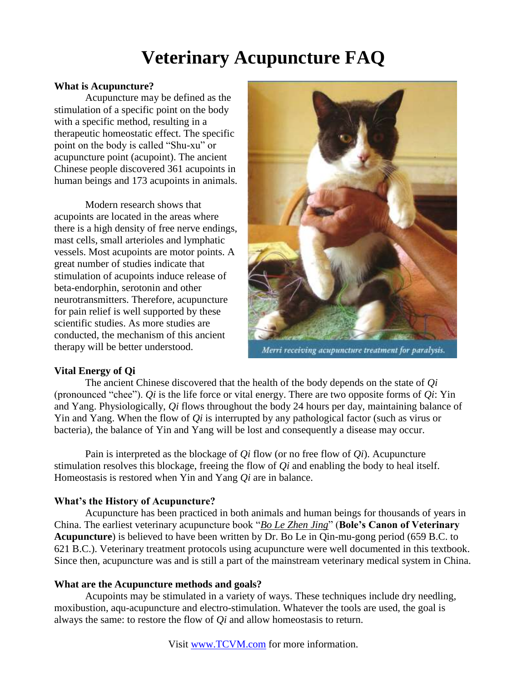# **Veterinary Acupuncture FAQ**

## **What is Acupuncture?**

Acupuncture may be defined as the stimulation of a specific point on the body with a specific method, resulting in a therapeutic homeostatic effect. The specific point on the body is called "Shu-xu" or acupuncture point (acupoint). The ancient Chinese people discovered 361 acupoints in human beings and 173 acupoints in animals.

Modern research shows that acupoints are located in the areas where there is a high density of free nerve endings, mast cells, small arterioles and lymphatic vessels. Most acupoints are motor points. A great number of studies indicate that stimulation of acupoints induce release of beta-endorphin, serotonin and other neurotransmitters. Therefore, acupuncture for pain relief is well supported by these scientific studies. As more studies are conducted, the mechanism of this ancient therapy will be better understood.



Merri receiving acupuncture treatment for paralysis.

# **Vital Energy of Qi**

The ancient Chinese discovered that the health of the body depends on the state of *Qi*  (pronounced "chee"). *Qi* is the life force or vital energy. There are two opposite forms of *Qi*: Yin and Yang. Physiologically, *Qi* flows throughout the body 24 hours per day, maintaining balance of Yin and Yang. When the flow of *Qi* is interrupted by any pathological factor (such as virus or bacteria), the balance of Yin and Yang will be lost and consequently a disease may occur.

Pain is interpreted as the blockage of *Qi* flow (or no free flow of *Qi*). Acupuncture stimulation resolves this blockage, freeing the flow of *Qi* and enabling the body to heal itself. Homeostasis is restored when Yin and Yang *Qi* are in balance.

# **What's the History of Acupuncture?**

Acupuncture has been practiced in both animals and human beings for thousands of years in China. The earliest veterinary acupuncture book "*Bo Le Zhen Jing*" (**Bole's Canon of Veterinary Acupuncture**) is believed to have been written by Dr. Bo Le in Qin-mu-gong period (659 B.C. to 621 B.C.). Veterinary treatment protocols using acupuncture were well documented in this textbook. Since then, acupuncture was and is still a part of the mainstream veterinary medical system in China.

# **What are the Acupuncture methods and goals?**

Acupoints may be stimulated in a variety of ways. These techniques include dry needling, moxibustion, aqu-acupuncture and electro-stimulation. Whatever the tools are used, the goal is always the same: to restore the flow of *Qi* and allow homeostasis to return.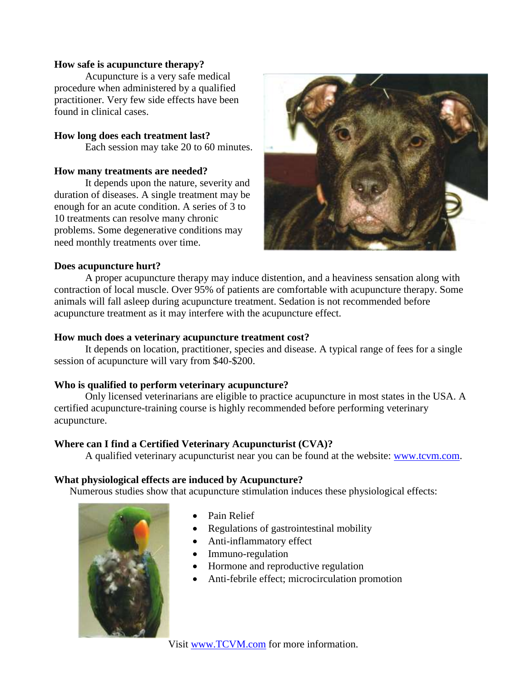### **How safe is acupuncture therapy?**

Acupuncture is a very safe medical procedure when administered by a qualified practitioner. Very few side effects have been found in clinical cases.

## **How long does each treatment last?**

Each session may take 20 to 60 minutes.

#### **How many treatments are needed?**

It depends upon the nature, severity and duration of diseases. A single treatment may be enough for an acute condition. A series of 3 to 10 treatments can resolve many chronic problems. Some degenerative conditions may need monthly treatments over time.



#### **Does acupuncture hurt?**

A proper acupuncture therapy may induce distention, and a heaviness sensation along with contraction of local muscle. Over 95% of patients are comfortable with acupuncture therapy. Some animals will fall asleep during acupuncture treatment. Sedation is not recommended before acupuncture treatment as it may interfere with the acupuncture effect.

#### **How much does a veterinary acupuncture treatment cost?**

It depends on location, practitioner, species and disease. A typical range of fees for a single session of acupuncture will vary from \$40-\$200.

# **Who is qualified to perform veterinary acupuncture?**

Only licensed veterinarians are eligible to practice acupuncture in most states in the USA. A certified acupuncture-training course is highly recommended before performing veterinary acupuncture.

# **Where can I find a Certified Veterinary Acupuncturist (CVA)?**

A qualified veterinary acupuncturist near you can be found at the website: [www.tcvm.com.](http://www.tcvm.com/)

# **What physiological effects are induced by Acupuncture?**

Numerous studies show that acupuncture stimulation induces these physiological effects:



- Pain Relief
- Regulations of gastrointestinal mobility
- Anti-inflammatory effect
- Immuno-regulation
- Hormone and reproductive regulation
- Anti-febrile effect; microcirculation promotion

Visit [www.TCVM.com](http://www.tcvm.com/) for more information.